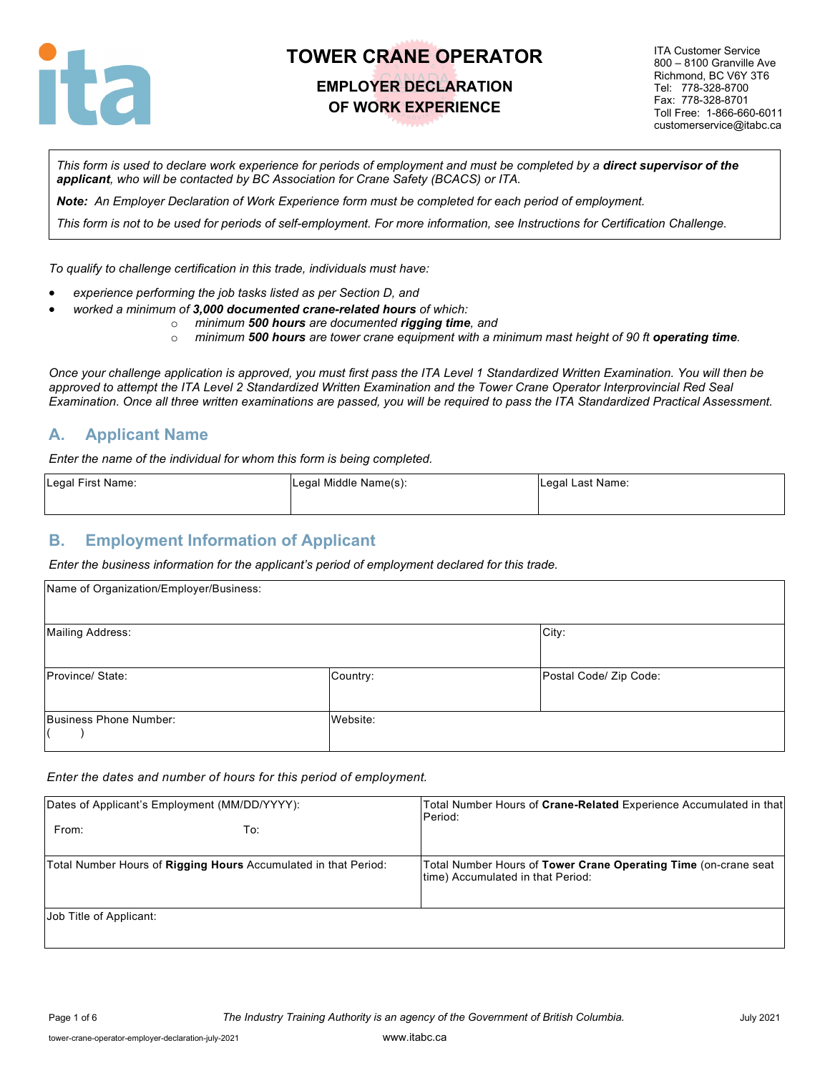

### **EMPLOYER DECLARATION OF WORK EXPERIENCE**

ITA Customer Service 800 – 8100 Granville Ave Richmond, BC V6Y 3T6 Tel: 778-328-8700 Fax: 778-328-8701 Toll Free: 1-866-660-6011 customerservice@itabc.ca

*This form is used to declare work experience for periods of employment and must be completed by a direct supervisor of the applicant, who will be contacted by BC Association for Crane Safety (BCACS) or ITA.*

*Note: An Employer Declaration of Work Experience form must be completed for each period of employment.*

*This form is not to be used for periods of self-employment. For more information, see Instructions for Certification Challenge.*

*To qualify to challenge certification in this trade, individuals must have:*

- *experience performing the job tasks listed as per Section D, and*
- *worked a minimum of 3,000 documented crane-related hours of which:*
	- o *minimum 500 hours are documented rigging time, and*
		- o *minimum 500 hours are tower crane equipment with a minimum mast height of 90 ft operating time.*

*Once your challenge application is approved, you must first pass the ITA Level 1 Standardized Written Examination. You will then be approved to attempt the ITA Level 2 Standardized Written Examination and the Tower Crane Operator Interprovincial Red Seal Examination. Once all three written examinations are passed, you will be required to pass the ITA Standardized Practical Assessment.*

#### **A. Applicant Name**

*Enter the name of the individual for whom this form is being completed.*

| Legal First Name: | Legal Middle Name(s): | Legal Last Name: |
|-------------------|-----------------------|------------------|
|                   |                       |                  |

#### **B. Employment Information of Applicant**

*Enter the business information for the applicant's period of employment declared for this trade.*

| Name of Organization/Employer/Business: |          |                        |
|-----------------------------------------|----------|------------------------|
| <b>Mailing Address:</b>                 |          | City:                  |
| Province/State:                         | Country: | Postal Code/ Zip Code: |
| Business Phone Number:                  | Website: |                        |

*Enter the dates and number of hours for this period of employment.*

| Dates of Applicant's Employment (MM/DD/YYYY):                   | Total Number Hours of Crane-Related Experience Accumulated in that<br>Period:                        |
|-----------------------------------------------------------------|------------------------------------------------------------------------------------------------------|
| From:<br>To:                                                    |                                                                                                      |
| Total Number Hours of Rigging Hours Accumulated in that Period: | Total Number Hours of Tower Crane Operating Time (on-crane seat<br>time) Accumulated in that Period: |
| Job Title of Applicant:                                         |                                                                                                      |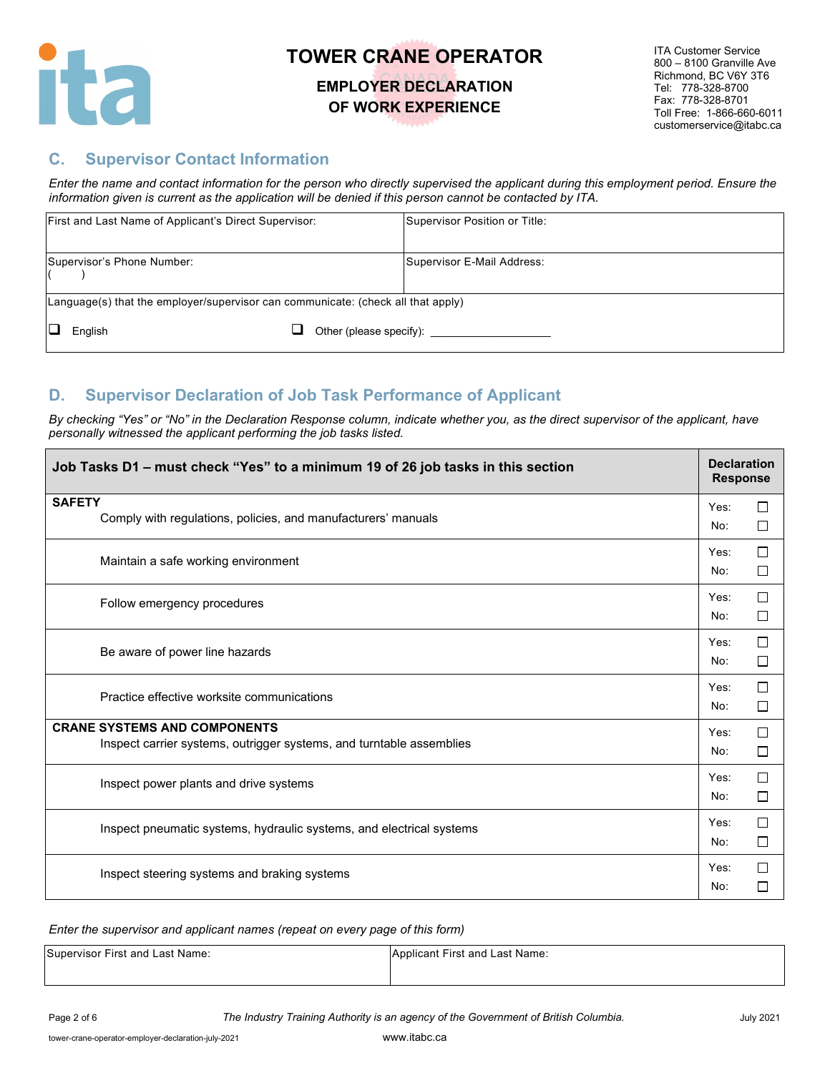

#### **EMPLOYER DECLARATION OF WORK EXPERIENCE**

ITA Customer Service 800 – 8100 Granville Ave Richmond, BC V6Y 3T6 Tel: 778-328-8700 Fax: 778-328-8701 Toll Free: 1-866-660-6011 customerservice@itabc.ca

#### **C. Supervisor Contact Information**

*Enter the name and contact information for the person who directly supervised the applicant during this employment period. Ensure the information given is current as the application will be denied if this person cannot be contacted by ITA.*

| First and Last Name of Applicant's Direct Supervisor:                                      | Supervisor Position or Title: |
|--------------------------------------------------------------------------------------------|-------------------------------|
| Supervisor's Phone Number:                                                                 | Supervisor E-Mail Address:    |
| $\lfloor$ Language(s) that the employer/supervisor can communicate: (check all that apply) |                               |
| English                                                                                    | Other (please specify):       |

#### **D. Supervisor Declaration of Job Task Performance of Applicant**

*By checking "Yes" or "No" in the Declaration Response column, indicate whether you, as the direct supervisor of the applicant, have personally witnessed the applicant performing the job tasks listed.* 

| Job Tasks D1 - must check "Yes" to a minimum 19 of 26 job tasks in this section                             | <b>Declaration</b><br><b>Response</b> |                  |
|-------------------------------------------------------------------------------------------------------------|---------------------------------------|------------------|
| <b>SAFETY</b><br>Comply with regulations, policies, and manufacturers' manuals                              | Yes:<br>No:                           | $\Box$<br>□      |
| Maintain a safe working environment                                                                         | Yes:<br>No:                           | $\Box$<br>$\Box$ |
| Follow emergency procedures                                                                                 | Yes:<br>No:                           | П<br>□           |
| Be aware of power line hazards                                                                              | Yes:<br>No:                           | $\Box$<br>□      |
| Practice effective worksite communications                                                                  | Yes:<br>No:                           | $\Box$<br>□      |
| <b>CRANE SYSTEMS AND COMPONENTS</b><br>Inspect carrier systems, outrigger systems, and turntable assemblies | Yes:<br>No:                           | $\Box$<br>□      |
| Inspect power plants and drive systems                                                                      | Yes:<br>No:                           | $\Box$<br>□      |
| Inspect pneumatic systems, hydraulic systems, and electrical systems                                        | Yes:<br>No:                           | □<br>□           |
| Inspect steering systems and braking systems                                                                | Yes:<br>No:                           | $\Box$<br>□      |

*Enter the supervisor and applicant names (repeat on every page of this form)*

| Supervisor First and Last Name: | Applicant First and Last Name: |
|---------------------------------|--------------------------------|
|                                 |                                |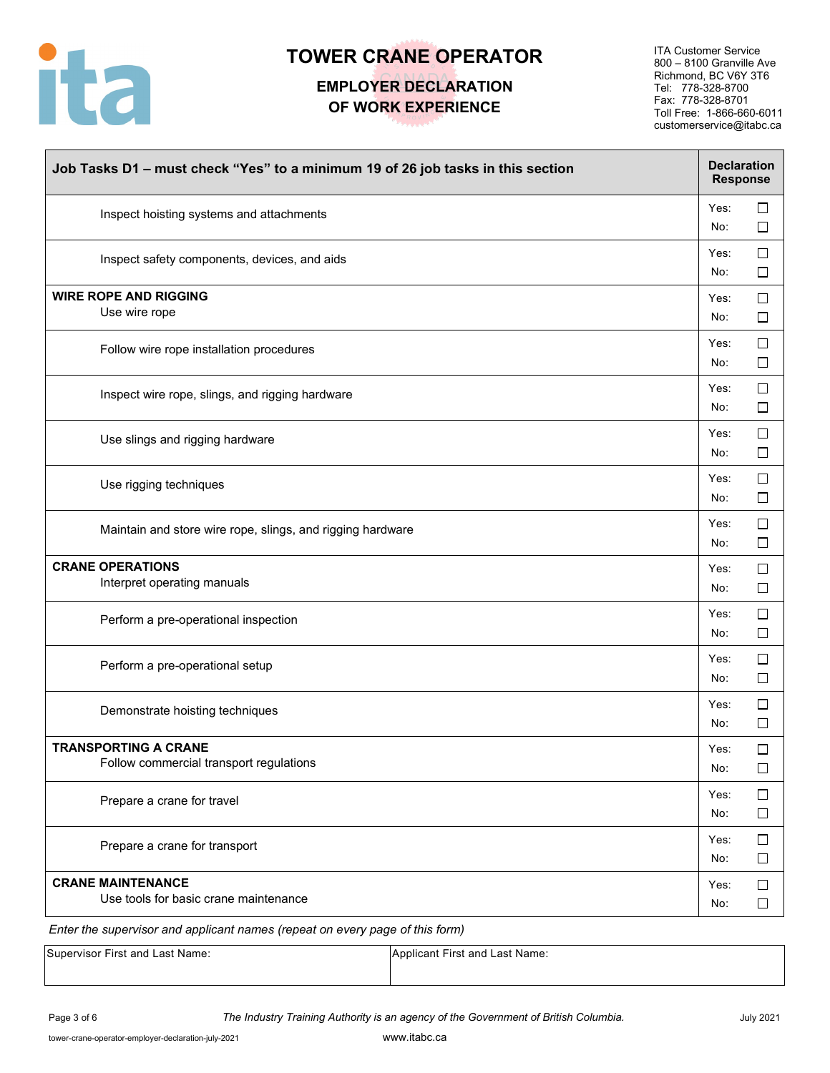

## **EMPLOYER DECLARATION OF WORK EXPERIENCE**

ITA Customer Service 800 – 8100 Granville Ave Richmond, BC V6Y 3T6 Tel: 778-328-8700 Fax: 778-328-8701 Toll Free: 1-866-660-6011 customerservice@itabc.ca

| Job Tasks D1 - must check "Yes" to a minimum 19 of 26 job tasks in this section | <b>Declaration</b><br><b>Response</b> |                  |
|---------------------------------------------------------------------------------|---------------------------------------|------------------|
| Inspect hoisting systems and attachments                                        | Yes:<br>No:                           | $\Box$<br>□      |
| Inspect safety components, devices, and aids                                    | Yes:<br>No:                           | □<br>□           |
| <b>WIRE ROPE AND RIGGING</b><br>Use wire rope                                   | Yes:<br>No:                           | $\Box$<br>$\Box$ |
| Follow wire rope installation procedures                                        | Yes:<br>No:                           | $\Box$<br>$\Box$ |
| Inspect wire rope, slings, and rigging hardware                                 | Yes:<br>No:                           | $\Box$<br>$\Box$ |
| Use slings and rigging hardware                                                 | Yes:<br>No:                           | $\Box$<br>$\Box$ |
| Use rigging techniques                                                          | Yes:<br>No:                           | $\Box$<br>$\Box$ |
| Maintain and store wire rope, slings, and rigging hardware                      | Yes:<br>No:                           | $\Box$<br>□      |
| <b>CRANE OPERATIONS</b><br>Interpret operating manuals                          | Yes:<br>No:                           | $\Box$<br>□      |
| Perform a pre-operational inspection                                            | Yes:<br>No:                           | $\Box$<br>□      |
| Perform a pre-operational setup                                                 | Yes:<br>No:                           | $\Box$<br>$\Box$ |
| Demonstrate hoisting techniques                                                 | Yes:<br>No:                           | $\Box$<br>$\Box$ |
| <b>TRANSPORTING A CRANE</b><br>Follow commercial transport regulations          | Yes:<br>No:                           | $\Box$<br>$\Box$ |
| Prepare a crane for travel                                                      | Yes:<br>No:                           | $\Box$<br>$\Box$ |
| Prepare a crane for transport                                                   | Yes:<br>No:                           | □<br>$\Box$      |
| <b>CRANE MAINTENANCE</b><br>Use tools for basic crane maintenance               | Yes:<br>No:                           | $\Box$<br>$\Box$ |

*Enter the supervisor and applicant names (repeat on every page of this form)*

| Supervisor First and Last Name: | Applicant First and Last Name: |
|---------------------------------|--------------------------------|
|                                 |                                |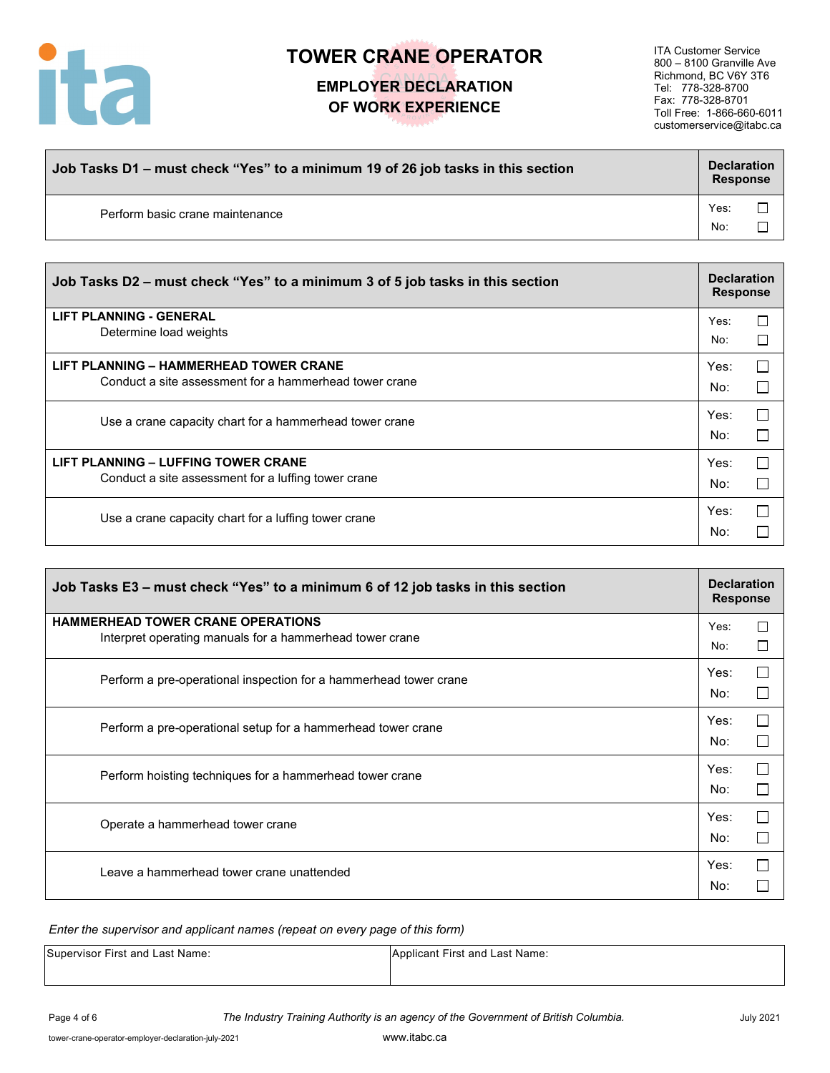

## **EMPLOYER DECLARATION OF WORK EXPERIENCE**

ITA Customer Service 800 – 8100 Granville Ave Richmond, BC V6Y 3T6 Tel: 778-328-8700 Fax: 778-328-8701 Toll Free: 1-866-660-6011 customerservice@itabc.ca

| Job Tasks D1 – must check "Yes" to a minimum 19 of 26 job tasks in this section |             | <b>Declaration</b><br><b>Response</b> |  |
|---------------------------------------------------------------------------------|-------------|---------------------------------------|--|
| Perform basic crane maintenance                                                 | Yes:<br>No: |                                       |  |

| Job Tasks D2 – must check "Yes" to a minimum 3 of 5 job tasks in this section                    |             | <b>Declaration</b><br><b>Response</b> |  |
|--------------------------------------------------------------------------------------------------|-------------|---------------------------------------|--|
| <b>LIFT PLANNING - GENERAL</b><br>Determine load weights                                         | Yes:<br>No: | П<br>┍                                |  |
| LIFT PLANNING – HAMMERHEAD TOWER CRANE<br>Conduct a site assessment for a hammerhead tower crane | Yes:<br>No: | П                                     |  |
| Use a crane capacity chart for a hammerhead tower crane                                          | Yes:<br>No: |                                       |  |
| LIFT PLANNING - LUFFING TOWER CRANE<br>Conduct a site assessment for a luffing tower crane       | Yes:<br>No: |                                       |  |
| Use a crane capacity chart for a luffing tower crane                                             | Yes:<br>No: |                                       |  |

| Job Tasks E3 - must check "Yes" to a minimum 6 of 12 job tasks in this section                       |             | <b>Declaration</b><br><b>Response</b> |  |
|------------------------------------------------------------------------------------------------------|-------------|---------------------------------------|--|
| <b>HAMMERHEAD TOWER CRANE OPERATIONS</b><br>Interpret operating manuals for a hammerhead tower crane | Yes:<br>No: | $\Box$<br>П                           |  |
| Perform a pre-operational inspection for a hammerhead tower crane                                    | Yes:<br>No: |                                       |  |
| Perform a pre-operational setup for a hammerhead tower crane                                         | Yes:<br>No: |                                       |  |
| Perform hoisting techniques for a hammerhead tower crane                                             | Yes:<br>No: |                                       |  |
| Operate a hammerhead tower crane                                                                     | Yes:<br>No: |                                       |  |
| Leave a hammerhead tower crane unattended                                                            | Yes:<br>No: |                                       |  |

#### *Enter the supervisor and applicant names (repeat on every page of this form)*

| Supervisor First and Last Name: | Applicant First and Last Name: |
|---------------------------------|--------------------------------|
|                                 |                                |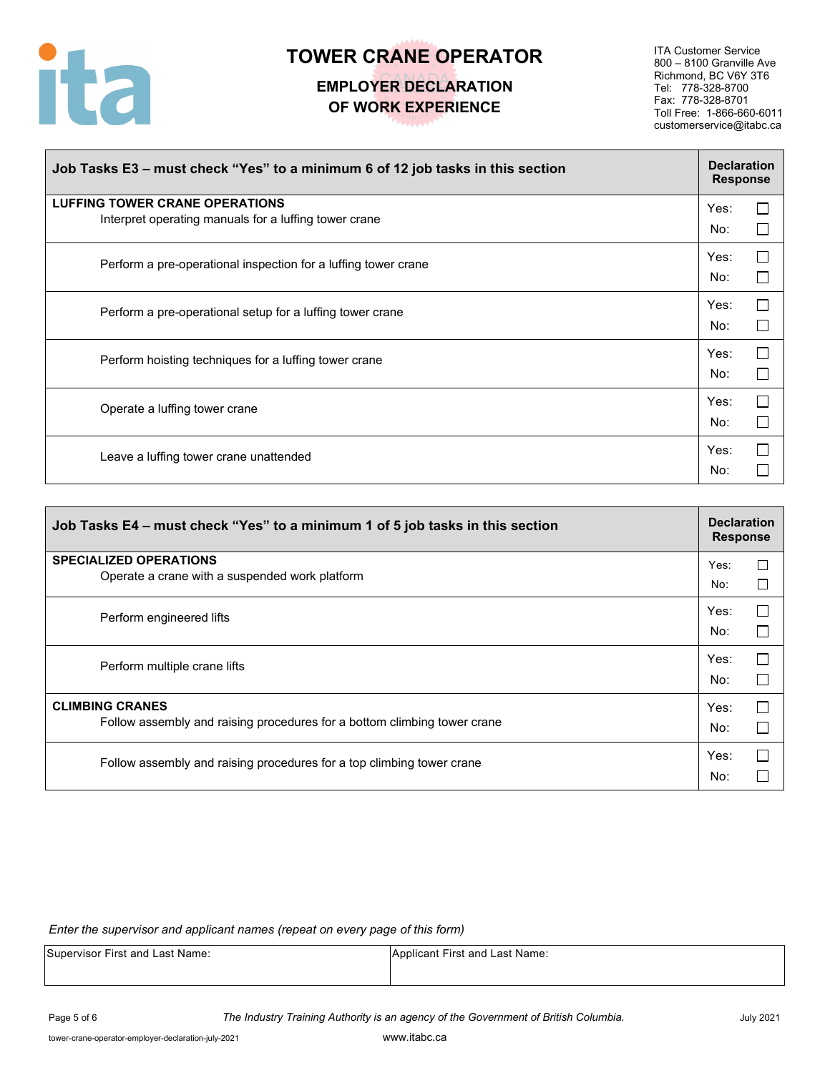

### **EMPLOYER DECLARATION OF WORK EXPERIENCE**

ITA Customer Service 800 – 8100 Granville Ave Richmond, BC V6Y 3T6 Tel: 778-328-8700 Fax: 778-328-8701 Toll Free: 1-866-660-6011 customerservice@itabc.ca

| Job Tasks E3 – must check "Yes" to a minimum 6 of 12 job tasks in this section                 | <b>Declaration</b><br><b>Response</b> |
|------------------------------------------------------------------------------------------------|---------------------------------------|
| <b>LUFFING TOWER CRANE OPERATIONS</b><br>Interpret operating manuals for a luffing tower crane | Yes:<br>No:                           |
| Perform a pre-operational inspection for a luffing tower crane                                 | Yes:<br>No:                           |
| Perform a pre-operational setup for a luffing tower crane                                      | $\Box$<br>Yes:<br>No:                 |
| Perform hoisting techniques for a luffing tower crane                                          | П<br>Yes:<br>No:                      |
| Operate a luffing tower crane                                                                  | Yes:<br>No:                           |
| Leave a luffing tower crane unattended                                                         | Yes:<br>No:                           |

| Job Tasks E4 – must check "Yes" to a minimum 1 of 5 job tasks in this section                      | <b>Declaration</b><br><b>Response</b> |        |
|----------------------------------------------------------------------------------------------------|---------------------------------------|--------|
| <b>SPECIALIZED OPERATIONS</b><br>Operate a crane with a suspended work platform                    | Yes:                                  | □      |
|                                                                                                    | No:<br>Yes:                           | □<br>П |
| Perform engineered lifts                                                                           | No:                                   |        |
| Perform multiple crane lifts                                                                       | Yes:<br>No:                           | П      |
| <b>CLIMBING CRANES</b><br>Follow assembly and raising procedures for a bottom climbing tower crane | Yes:<br>No:                           |        |
| Follow assembly and raising procedures for a top climbing tower crane                              | Yes:<br>No:                           | $\Box$ |

*Enter the supervisor and applicant names (repeat on every page of this form)*

| Supervisor First and Last Name: | Applicant First and Last Name: |
|---------------------------------|--------------------------------|
|                                 |                                |

Page 5 of 6 *The Industry Training Authority is an agency of the Government of British Columbia.* July 2021